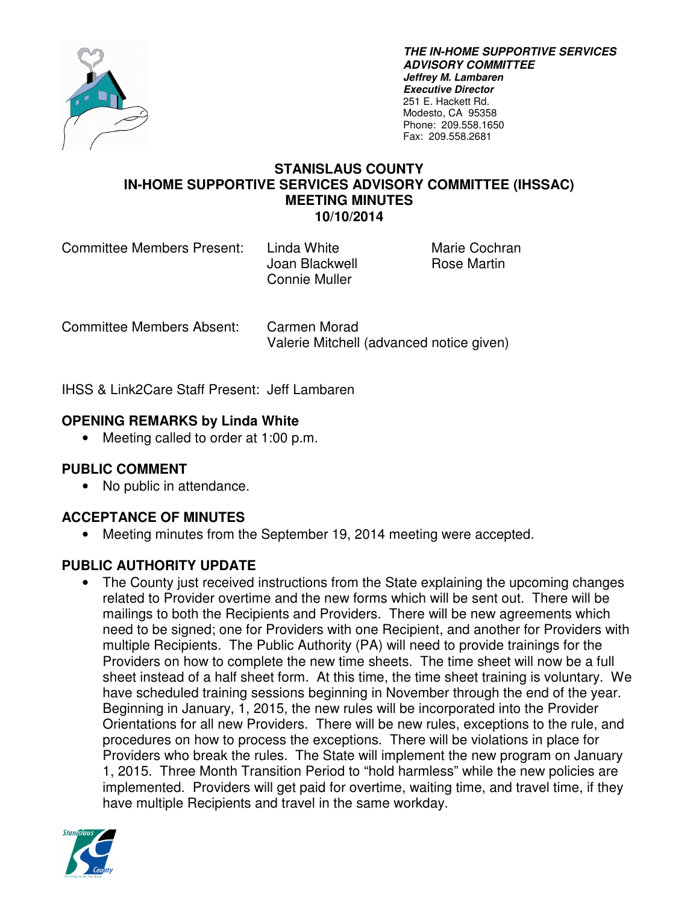

**THE IN-HOME SUPPORTIVE SERVICES ADVISORY COMMITTEE Jeffrey M. Lambaren Executive Director**  251 E. Hackett Rd. Modesto, CA 95358 Phone: 209.558.1650 Fax: 209.558.2681

#### **STANISLAUS COUNTY IN-HOME SUPPORTIVE SERVICES ADVISORY COMMITTEE (IHSSAC) MEETING MINUTES 10/10/2014**

| <b>Committee Members Present:</b> |  |  |
|-----------------------------------|--|--|
|-----------------------------------|--|--|

Joan Blackwell **Rose Martin** Connie Muller

Linda White Marie Cochran

Committee Members Absent: Carmen Morad Valerie Mitchell (advanced notice given)

IHSS & Link2Care Staff Present: Jeff Lambaren

# **OPENING REMARKS by Linda White**

• Meeting called to order at 1:00 p.m.

## **PUBLIC COMMENT**

• No public in attendance.

## **ACCEPTANCE OF MINUTES**

• Meeting minutes from the September 19, 2014 meeting were accepted.

## **PUBLIC AUTHORITY UPDATE**

The County just received instructions from the State explaining the upcoming changes related to Provider overtime and the new forms which will be sent out. There will be mailings to both the Recipients and Providers. There will be new agreements which need to be signed; one for Providers with one Recipient, and another for Providers with multiple Recipients. The Public Authority (PA) will need to provide trainings for the Providers on how to complete the new time sheets. The time sheet will now be a full sheet instead of a half sheet form. At this time, the time sheet training is voluntary. We have scheduled training sessions beginning in November through the end of the year. Beginning in January, 1, 2015, the new rules will be incorporated into the Provider Orientations for all new Providers. There will be new rules, exceptions to the rule, and procedures on how to process the exceptions. There will be violations in place for Providers who break the rules. The State will implement the new program on January 1, 2015. Three Month Transition Period to "hold harmless" while the new policies are implemented. Providers will get paid for overtime, waiting time, and travel time, if they have multiple Recipients and travel in the same workday.